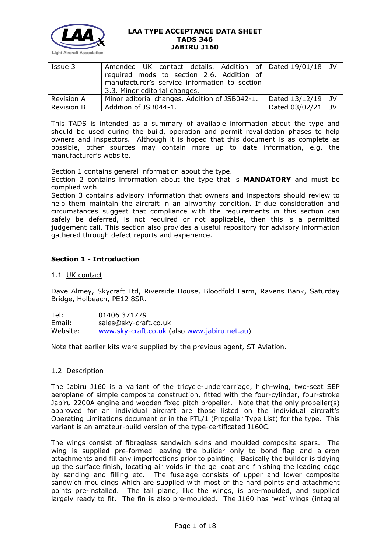

| Issue 3           | Amended UK contact details. Addition of   Dated 19/01/18   JV<br>required mods to section 2.6. Addition of<br>manufacturer's service information to section<br>3.3. Minor editorial changes. |                     |      |
|-------------------|----------------------------------------------------------------------------------------------------------------------------------------------------------------------------------------------|---------------------|------|
| <b>Revision A</b> | Minor editorial changes. Addition of JSB042-1.                                                                                                                                               | Dated $13/12/19$ JV |      |
| <b>Revision B</b> | Addition of JSB044-1.                                                                                                                                                                        | Dated 03/02/21      | i JV |

This TADS is intended as a summary of available information about the type and should be used during the build, operation and permit revalidation phases to help owners and inspectors. Although it is hoped that this document is as complete as possible, other sources may contain more up to date information, e.g. the manufacturer's website.

Section 1 contains general information about the type.

Section 2 contains information about the type that is **MANDATORY** and must be complied with.

Section 3 contains advisory information that owners and inspectors should review to help them maintain the aircraft in an airworthy condition. If due consideration and circumstances suggest that compliance with the requirements in this section can safely be deferred, is not required or not applicable, then this is a permitted judgement call. This section also provides a useful repository for advisory information gathered through defect reports and experience.

## **Section 1 - Introduction**

#### 1.1 UK contact

Dave Almey, Skycraft Ltd, Riverside House, Bloodfold Farm, Ravens Bank, Saturday Bridge, Holbeach, PE12 8SR.

Tel: 01406 371779 Email: sales@sky-craft.co.uk Website: [www.sky-craft.co.uk](http://www.sky-craft.co.uk/) (also [www.jabiru.net.au\)](http://www.jabiru.net.au/)

Note that earlier kits were supplied by the previous agent, ST Aviation.

#### 1.2 Description

The Jabiru J160 is a variant of the tricycle-undercarriage, high-wing, two-seat SEP aeroplane of simple composite construction, fitted with the four-cylinder, four-stroke Jabiru 2200A engine and wooden fixed pitch propeller. Note that the only propeller(s) approved for an individual aircraft are those listed on the individual aircraft's Operating Limitations document or in the PTL/1 (Propeller Type List) for the type. This variant is an amateur-build version of the type-certificated J160C.

The wings consist of fibreglass sandwich skins and moulded composite spars. The wing is supplied pre-formed leaving the builder only to bond flap and aileron attachments and fill any imperfections prior to painting. Basically the builder is tidying up the surface finish, locating air voids in the gel coat and finishing the leading edge by sanding and filling etc. The fuselage consists of upper and lower composite sandwich mouldings which are supplied with most of the hard points and attachment points pre-installed. The tail plane, like the wings, is pre-moulded, and supplied largely ready to fit. The fin is also pre-moulded. The J160 has 'wet' wings (integral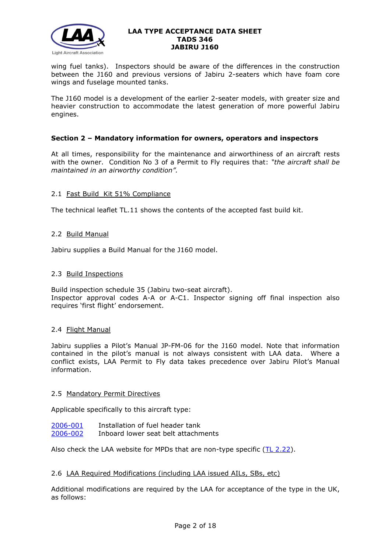

wing fuel tanks). Inspectors should be aware of the differences in the construction between the J160 and previous versions of Jabiru 2-seaters which have foam core wings and fuselage mounted tanks.

The J160 model is a development of the earlier 2-seater models, with greater size and heavier construction to accommodate the latest generation of more powerful Jabiru engines.

#### **Section 2 – Mandatory information for owners, operators and inspectors**

At all times, responsibility for the maintenance and airworthiness of an aircraft rests with the owner. Condition No 3 of a Permit to Fly requires that: *"the aircraft shall be maintained in an airworthy condition".* 

## 2.1 Fast Build Kit 51% Compliance

The technical leaflet TL.11 shows the contents of the accepted fast build kit.

#### 2.2 Build Manual

Jabiru supplies a Build Manual for the J160 model.

#### 2.3 Build Inspections

Build inspection schedule 35 (Jabiru two-seat aircraft). Inspector approval codes A-A or A-C1. Inspector signing off final inspection also requires 'first flight' endorsement.

#### 2.4 Flight Manual

Jabiru supplies a Pilot's Manual JP-FM-06 for the J160 model. Note that information contained in the pilot's manual is not always consistent with LAA data. Where a conflict exists, LAA Permit to Fly data takes precedence over Jabiru Pilot's Manual information.

#### 2.5 Mandatory Permit Directives

Applicable specifically to this aircraft type:

| 2006-001 | Installation of fuel header tank    |
|----------|-------------------------------------|
| 2006-002 | Inboard lower seat belt attachments |

Also check the LAA website for MPDs that are non-type specific [\(TL 2.22\)](http://www.lightaircraftassociation.co.uk/engineering/TechnicalLeaflets/Operating%20An%20Aircraft/TL%202.22%20non-type%20specific%20MPDs.pdf).

#### 2.6 LAA Required Modifications (including LAA issued AILs, SBs, etc)

Additional modifications are required by the LAA for acceptance of the type in the UK, as follows: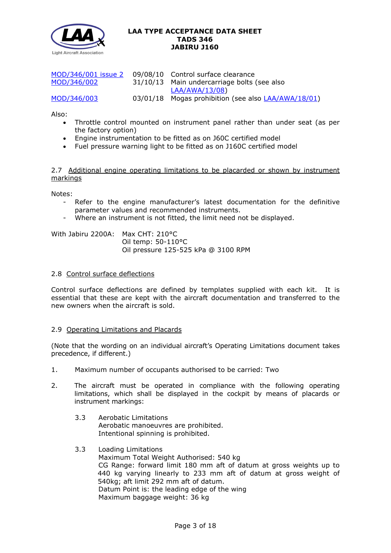

| MOD/346/001 issue 2 | 09/08/10 Control surface clearance                  |
|---------------------|-----------------------------------------------------|
| MOD/346/002         | 31/10/13 Main undercarriage bolts (see also         |
|                     | LAA/AWA/13/08)                                      |
| MOD/346/003         | 03/01/18 Mogas prohibition (see also LAA/AWA/18/01) |

Also:

- Throttle control mounted on instrument panel rather than under seat (as per the factory option)
- Engine instrumentation to be fitted as on J60C certified model
- Fuel pressure warning light to be fitted as on J160C certified model

2.7 Additional engine operating limitations to be placarded or shown by instrument markings

Notes:

- Refer to the engine manufacturer's latest documentation for the definitive parameter values and recommended instruments.
- Where an instrument is not fitted, the limit need not be displayed.

With Jabiru 2200A: Max CHT: 210°C Oil temp: 50-110°C Oil pressure 125-525 kPa @ 3100 RPM

#### 2.8 Control surface deflections

Control surface deflections are defined by templates supplied with each kit. It is essential that these are kept with the aircraft documentation and transferred to the new owners when the aircraft is sold.

#### 2.9 Operating Limitations and Placards

(Note that the wording on an individual aircraft's Operating Limitations document takes precedence, if different.)

- 1. Maximum number of occupants authorised to be carried: Two
- 2. The aircraft must be operated in compliance with the following operating limitations, which shall be displayed in the cockpit by means of placards or instrument markings:
	- 3.3 Aerobatic Limitations Aerobatic manoeuvres are prohibited. Intentional spinning is prohibited.
	- 3.3 Loading Limitations Maximum Total Weight Authorised: 540 kg CG Range: forward limit 180 mm aft of datum at gross weights up to 440 kg varying linearly to 233 mm aft of datum at gross weight of 540kg; aft limit 292 mm aft of datum. Datum Point is: the leading edge of the wing Maximum baggage weight: 36 kg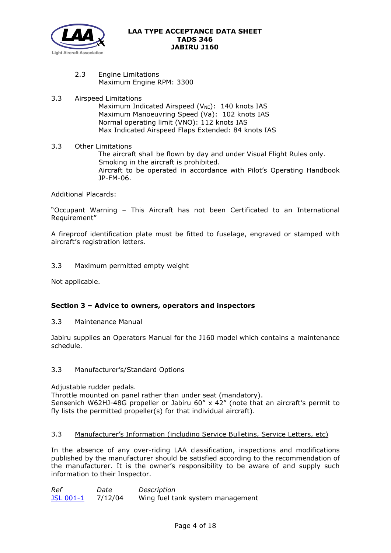

2.3 Engine Limitations Maximum Engine RPM: 3300

# 3.3 Airspeed Limitations

Maximum Indicated Airspeed ( $V_{NE}$ ): 140 knots IAS Maximum Manoeuvring Speed (Va): 102 knots IAS Normal operating limit (VNO): 112 knots IAS Max Indicated Airspeed Flaps Extended: 84 knots IAS

3.3 Other Limitations The aircraft shall be flown by day and under Visual Flight Rules only. Smoking in the aircraft is prohibited. Aircraft to be operated in accordance with Pilot's Operating Handbook JP-FM-06.

## Additional Placards:

"Occupant Warning – This Aircraft has not been Certificated to an International Requirement"

A fireproof identification plate must be fitted to fuselage, engraved or stamped with aircraft's registration letters.

## 3.3 Maximum permitted empty weight

Not applicable.

# **Section 3 – Advice to owners, operators and inspectors**

## 3.3 Maintenance Manual

Jabiru supplies an Operators Manual for the J160 model which contains a maintenance schedule.

## 3.3 Manufacturer's/Standard Options

Adjustable rudder pedals.

Throttle mounted on panel rather than under seat (mandatory). Sensenich W62HJ-48G propeller or Jabiru 60" x 42" (note that an aircraft's permit to fly lists the permitted propeller(s) for that individual aircraft).

## 3.3 Manufacturer's Information (including Service Bulletins, Service Letters, etc)

In the absence of any over-riding LAA classification, inspections and modifications published by the manufacturer should be satisfied according to the recommendation of the manufacturer. It is the owner's responsibility to be aware of and supply such information to their Inspector.

*Ref Date Description* [JSL 001-1](http://www.lightaircraftassociation.co.uk/engineering/TADs/346/JSL001-1c.pdf) 7/12/04 Wing fuel tank system management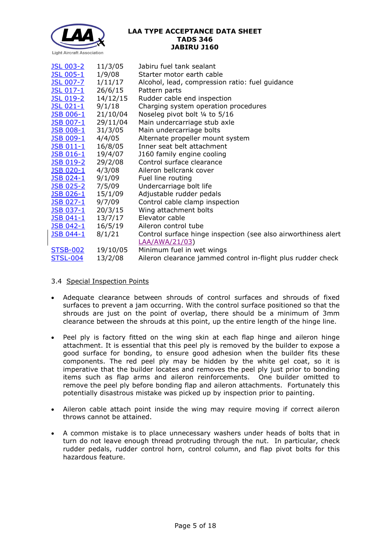

| <b>JSL 003-2</b>  | 11/3/05  | Jabiru fuel tank sealant                                       |
|-------------------|----------|----------------------------------------------------------------|
| <b>JSL 005-1</b>  | 1/9/08   | Starter motor earth cable                                      |
| <b>JSL 007-7</b>  | 1/11/17  | Alcohol, lead, compression ratio: fuel guidance                |
| JSL 017-1         | 26/6/15  | Pattern parts                                                  |
| <b>JSL 019-2</b>  | 14/12/15 | Rudder cable end inspection                                    |
| <u>JSL 021-1</u>  | 9/1/18   | Charging system operation procedures                           |
| <u>JSB 006-1</u>  | 21/10/04 | Noseleg pivot bolt 1/4 to 5/16                                 |
| <u>JSB 007-1</u>  | 29/11/04 | Main undercarriage stub axle                                   |
| <b>JSB 008-1</b>  | 31/3/05  | Main undercarriage bolts                                       |
| <u>JSB 009-1</u>  | 4/4/05   | Alternate propeller mount system                               |
| <u> JSB 011-1</u> | 16/8/05  | Inner seat belt attachment                                     |
| <u>JSB 016-1</u>  | 19/4/07  | J160 family engine cooling                                     |
| <u> JSB 019-2</u> | 29/2/08  | Control surface clearance                                      |
| <u>JSB 020-1</u>  | 4/3/08   | Aileron bellcrank cover                                        |
| <u>JSB 024-1</u>  | 9/1/09   | Fuel line routing                                              |
| <u> JSB 025-2</u> | 7/5/09   | Undercarriage bolt life                                        |
| <u>JSB 026-1</u>  | 15/1/09  | Adjustable rudder pedals                                       |
| <u>JSB 027-1</u>  | 9/7/09   | Control cable clamp inspection                                 |
| <u>JSB 037-1</u>  | 20/3/15  | Wing attachment bolts                                          |
| <b>JSB 041-1</b>  | 13/7/17  | Elevator cable                                                 |
| <u>JSB 042-1</u>  | 16/5/19  | Aileron control tube                                           |
| <u>JSB 044-1</u>  | 8/1/21   | Control surface hinge inspection (see also airworthiness alert |
|                   |          | <b>LAA/AWA/21/03)</b>                                          |
| <b>STSB-002</b>   | 19/10/05 | Minimum fuel in wet wings                                      |
| <b>STSL-004</b>   | 13/2/08  | Aileron clearance jammed control in-flight plus rudder check   |

## 3.4 Special Inspection Points

- Adequate clearance between shrouds of control surfaces and shrouds of fixed surfaces to prevent a jam occurring. With the control surface positioned so that the shrouds are just on the point of overlap, there should be a minimum of 3mm clearance between the shrouds at this point, up the entire length of the hinge line.
- Peel ply is factory fitted on the wing skin at each flap hinge and aileron hinge attachment. It is essential that this peel ply is removed by the builder to expose a good surface for bonding, to ensure good adhesion when the builder fits these components. The red peel ply may be hidden by the white gel coat, so it is imperative that the builder locates and removes the peel ply just prior to bonding items such as flap arms and aileron reinforcements. One builder omitted to remove the peel ply before bonding flap and aileron attachments. Fortunately this potentially disastrous mistake was picked up by inspection prior to painting.
- Aileron cable attach point inside the wing may require moving if correct aileron throws cannot be attained.
- A common mistake is to place unnecessary washers under heads of bolts that in turn do not leave enough thread protruding through the nut. In particular, check rudder pedals, rudder control horn, control column, and flap pivot bolts for this hazardous feature.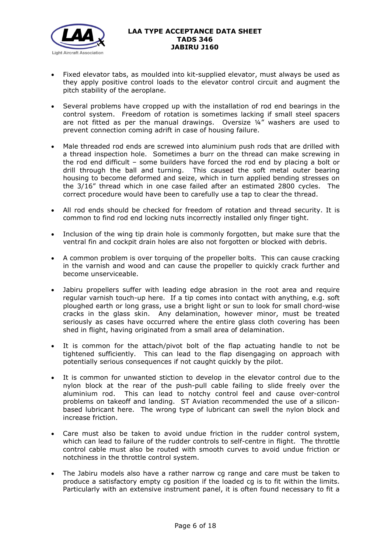

- Fixed elevator tabs, as moulded into kit-supplied elevator, must always be used as they apply positive control loads to the elevator control circuit and augment the pitch stability of the aeroplane.
- Several problems have cropped up with the installation of rod end bearings in the control system. Freedom of rotation is sometimes lacking if small steel spacers are not fitted as per the manual drawings. Oversize ¼" washers are used to prevent connection coming adrift in case of housing failure.
- Male threaded rod ends are screwed into aluminium push rods that are drilled with a thread inspection hole. Sometimes a burr on the thread can make screwing in the rod end difficult – some builders have forced the rod end by placing a bolt or drill through the ball and turning. This caused the soft metal outer bearing housing to become deformed and seize, which in turn applied bending stresses on the 3/16" thread which in one case failed after an estimated 2800 cycles. The correct procedure would have been to carefully use a tap to clear the thread.
- All rod ends should be checked for freedom of rotation and thread security. It is common to find rod end locking nuts incorrectly installed only finger tight.
- Inclusion of the wing tip drain hole is commonly forgotten, but make sure that the ventral fin and cockpit drain holes are also not forgotten or blocked with debris.
- A common problem is over torquing of the propeller bolts. This can cause cracking in the varnish and wood and can cause the propeller to quickly crack further and become unserviceable.
- Jabiru propellers suffer with leading edge abrasion in the root area and require regular varnish touch-up here. If a tip comes into contact with anything, e.g. soft ploughed earth or long grass, use a bright light or sun to look for small chord-wise cracks in the glass skin. Any delamination, however minor, must be treated seriously as cases have occurred where the entire glass cloth covering has been shed in flight, having originated from a small area of delamination.
- It is common for the attach/pivot bolt of the flap actuating handle to not be tightened sufficiently. This can lead to the flap disengaging on approach with potentially serious consequences if not caught quickly by the pilot.
- It is common for unwanted stiction to develop in the elevator control due to the nylon block at the rear of the push-pull cable failing to slide freely over the aluminium rod. This can lead to notchy control feel and cause over-control problems on takeoff and landing. ST Aviation recommended the use of a siliconbased lubricant here. The wrong type of lubricant can swell the nylon block and increase friction.
- Care must also be taken to avoid undue friction in the rudder control system, which can lead to failure of the rudder controls to self-centre in flight. The throttle control cable must also be routed with smooth curves to avoid undue friction or notchiness in the throttle control system.
- The Jabiru models also have a rather narrow cg range and care must be taken to produce a satisfactory empty cg position if the loaded cg is to fit within the limits. Particularly with an extensive instrument panel, it is often found necessary to fit a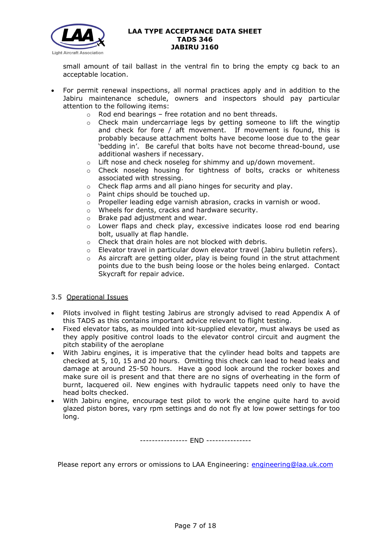

small amount of tail ballast in the ventral fin to bring the empty cg back to an acceptable location.

- For permit renewal inspections, all normal practices apply and in addition to the Jabiru maintenance schedule, owners and inspectors should pay particular attention to the following items:
	- $\circ$  Rod end bearings free rotation and no bent threads.
	- o Check main undercarriage legs by getting someone to lift the wingtip and check for fore / aft movement. If movement is found, this is probably because attachment bolts have become loose due to the gear 'bedding in'. Be careful that bolts have not become thread-bound, use additional washers if necessary.
	- o Lift nose and check noseleg for shimmy and up/down movement.
	- o Check noseleg housing for tightness of bolts, cracks or whiteness associated with stressing.
	- o Check flap arms and all piano hinges for security and play.
	- o Paint chips should be touched up.
	- $\circ$  Propeller leading edge varnish abrasion, cracks in varnish or wood.
	- o Wheels for dents, cracks and hardware security.
	- o Brake pad adjustment and wear.
	- o Lower flaps and check play, excessive indicates loose rod end bearing bolt, usually at flap handle.
	- o Check that drain holes are not blocked with debris.
	- $\circ$  Elevator travel in particular down elevator travel (Jabiru bulletin refers).
	- o As aircraft are getting older, play is being found in the strut attachment points due to the bush being loose or the holes being enlarged. Contact Skycraft for repair advice.

#### 3.5 Operational Issues

- Pilots involved in flight testing Jabirus are strongly advised to read Appendix A of this TADS as this contains important advice relevant to flight testing.
- Fixed elevator tabs, as moulded into kit-supplied elevator, must always be used as they apply positive control loads to the elevator control circuit and augment the pitch stability of the aeroplane
- With Jabiru engines, it is imperative that the cylinder head bolts and tappets are checked at 5, 10, 15 and 20 hours. Omitting this check can lead to head leaks and damage at around 25-50 hours. Have a good look around the rocker boxes and make sure oil is present and that there are no signs of overheating in the form of burnt, lacquered oil. New engines with hydraulic tappets need only to have the head bolts checked.
- With Jabiru engine, encourage test pilot to work the engine quite hard to avoid glazed piston bores, vary rpm settings and do not fly at low power settings for too long.

---------------- END ---------------

Please report any errors or omissions to LAA Engineering: [engineering@laa.uk.com](mailto:engineering@laa.uk.com)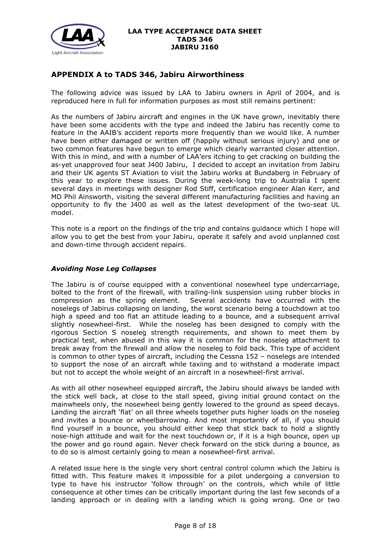

# **APPENDIX A to TADS 346, Jabiru Airworthiness**

The following advice was issued by LAA to Jabiru owners in April of 2004, and is reproduced here in full for information purposes as most still remains pertinent:

As the numbers of Jabiru aircraft and engines in the UK have grown, inevitably there have been some accidents with the type and indeed the Jabiru has recently come to feature in the AAIB's accident reports more frequently than we would like. A number have been either damaged or written off (happily without serious injury) and one or two common features have begun to emerge which clearly warranted closer attention. With this in mind, and with a number of LAA'ers itching to get cracking on building the as-yet unapproved four seat J400 Jabiru, I decided to accept an invitation from Jabiru and their UK agents ST Aviation to visit the Jabiru works at Bundaberg in February of this year to explore these issues. During the week-long trip to Australia I spent several days in meetings with designer Rod Stiff, certification engineer Alan Kerr, and MD Phil Ainsworth, visiting the several different manufacturing facilities and having an opportunity to fly the J400 as well as the latest development of the two-seat UL model.

This note is a report on the findings of the trip and contains guidance which I hope will allow you to get the best from your Jabiru, operate it safely and avoid unplanned cost and down-time through accident repairs.

#### *Avoiding Nose Leg Collapses*

The Jabiru is of course equipped with a conventional nosewheel type undercarriage, bolted to the front of the firewall, with trailing-link suspension using rubber blocks in compression as the spring element. Several accidents have occurred with the noselegs of Jabirus collapsing on landing, the worst scenario being a touchdown at too high a speed and too flat an attitude leading to a bounce, and a subsequent arrival slightly nosewheel-first. While the noseleg has been designed to comply with the rigorous Section S noseleg strength requirements, and shown to meet them by practical test, when abused in this way it is common for the noseleg attachment to break away from the firewall and allow the noseleg to fold back. This type of accident is common to other types of aircraft, including the Cessna 152 – noselegs are intended to support the nose of an aircraft while taxiing and to withstand a moderate impact but not to accept the whole weight of an aircraft in a nosewheel-first arrival.

As with all other nosewheel equipped aircraft, the Jabiru should always be landed with the stick well back, at close to the stall speed, giving initial ground contact on the mainwheels only, the nosewheel being gently lowered to the ground as speed decays. Landing the aircraft 'flat' on all three wheels together puts higher loads on the noseleg and invites a bounce or wheelbarrowing. And most importantly of all, if you should find yourself in a bounce, you should either keep that stick back to hold a slightly nose-high attitude and wait for the next touchdown or, if it is a high bounce, open up the power and go round again. Never check forward on the stick during a bounce, as to do so is almost certainly going to mean a nosewheel-first arrival.

A related issue here is the single very short central control column which the Jabiru is fitted with. This feature makes it impossible for a pilot undergoing a conversion to type to have his instructor 'follow through' on the controls, which while of little consequence at other times can be critically important during the last few seconds of a landing approach or in dealing with a landing which is going wrong. One or two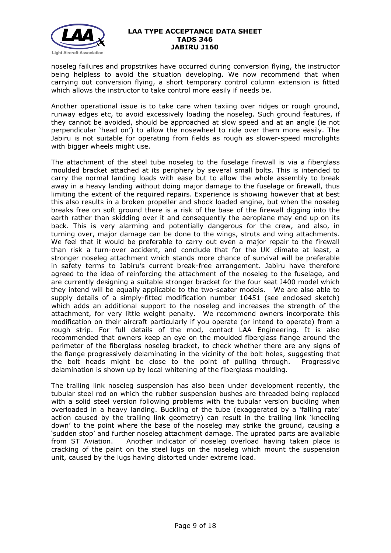

noseleg failures and propstrikes have occurred during conversion flying, the instructor being helpless to avoid the situation developing. We now recommend that when carrying out conversion flying, a short temporary control column extension is fitted which allows the instructor to take control more easily if needs be.

Another operational issue is to take care when taxiing over ridges or rough ground, runway edges etc, to avoid excessively loading the noseleg. Such ground features, if they cannot be avoided, should be approached at slow speed and at an angle (ie not perpendicular 'head on') to allow the nosewheel to ride over them more easily. The Jabiru is not suitable for operating from fields as rough as slower-speed microlights with bigger wheels might use.

The attachment of the steel tube noseleg to the fuselage firewall is via a fiberglass moulded bracket attached at its periphery by several small bolts. This is intended to carry the normal landing loads with ease but to allow the whole assembly to break away in a heavy landing without doing major damage to the fuselage or firewall, thus limiting the extent of the required repairs. Experience is showing however that at best this also results in a broken propeller and shock loaded engine, but when the noseleg breaks free on soft ground there is a risk of the base of the firewall digging into the earth rather than skidding over it and consequently the aeroplane may end up on its back. This is very alarming and potentially dangerous for the crew, and also, in turning over, major damage can be done to the wings, struts and wing attachments. We feel that it would be preferable to carry out even a major repair to the firewall than risk a turn-over accident, and conclude that for the UK climate at least, a stronger noseleg attachment which stands more chance of survival will be preferable in safety terms to Jabiru's current break-free arrangement. Jabiru have therefore agreed to the idea of reinforcing the attachment of the noseleg to the fuselage, and are currently designing a suitable stronger bracket for the four seat J400 model which they intend will be equally applicable to the two-seater models. We are also able to supply details of a simply-fitted modification number 10451 (see enclosed sketch) which adds an additional support to the noseleg and increases the strength of the attachment, for very little weight penalty. We recommend owners incorporate this modification on their aircraft particularly if you operate (or intend to operate) from a rough strip. For full details of the mod, contact LAA Engineering. It is also recommended that owners keep an eye on the moulded fiberglass flange around the perimeter of the fiberglass noseleg bracket, to check whether there are any signs of the flange progressively delaminating in the vicinity of the bolt holes, suggesting that the bolt heads might be close to the point of pulling through. Progressive delamination is shown up by local whitening of the fiberglass moulding.

The trailing link noseleg suspension has also been under development recently, the tubular steel rod on which the rubber suspension bushes are threaded being replaced with a solid steel version following problems with the tubular version buckling when overloaded in a heavy landing. Buckling of the tube (exaggerated by a 'falling rate' action caused by the trailing link geometry) can result in the trailing link 'kneeling down' to the point where the base of the noseleg may strike the ground, causing a 'sudden stop' and further noseleg attachment damage. The uprated parts are available from ST Aviation. Another indicator of noseleg overload having taken place is cracking of the paint on the steel lugs on the noseleg which mount the suspension unit, caused by the lugs having distorted under extreme load.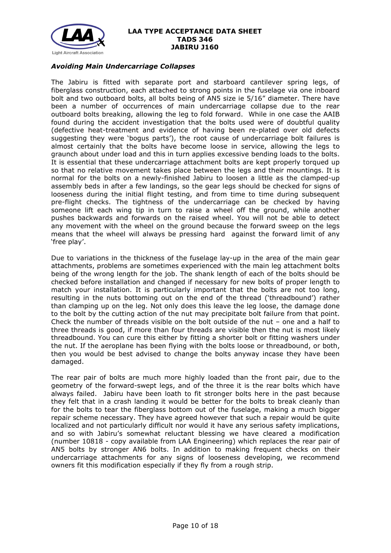

#### *Avoiding Main Undercarriage Collapses*

The Jabiru is fitted with separate port and starboard cantilever spring legs, of fiberglass construction, each attached to strong points in the fuselage via one inboard bolt and two outboard bolts, all bolts being of AN5 size ie 5/16" diameter. There have been a number of occurrences of main undercarriage collapse due to the rear outboard bolts breaking, allowing the leg to fold forward. While in one case the AAIB found during the accident investigation that the bolts used were of doubtful quality (defective heat-treatment and evidence of having been re-plated over old defects suggesting they were 'bogus parts'), the root cause of undercarriage bolt failures is almost certainly that the bolts have become loose in service, allowing the legs to graunch about under load and this in turn applies excessive bending loads to the bolts. It is essential that these undercarriage attachment bolts are kept properly torqued up so that no relative movement takes place between the legs and their mountings. It is normal for the bolts on a newly-finished Jabiru to loosen a little as the clamped-up assembly beds in after a few landings, so the gear legs should be checked for signs of looseness during the initial flight testing, and from time to time during subsequent pre-flight checks. The tightness of the undercarriage can be checked by having someone lift each wing tip in turn to raise a wheel off the ground, while another pushes backwards and forwards on the raised wheel. You will not be able to detect any movement with the wheel on the ground because the forward sweep on the legs means that the wheel will always be pressing hard against the forward limit of any 'free play'.

Due to variations in the thickness of the fuselage lay-up in the area of the main gear attachments, problems are sometimes experienced with the main leg attachment bolts being of the wrong length for the job. The shank length of each of the bolts should be checked before installation and changed if necessary for new bolts of proper length to match your installation. It is particularly important that the bolts are not too long, resulting in the nuts bottoming out on the end of the thread ('threadbound') rather than clamping up on the leg. Not only does this leave the leg loose, the damage done to the bolt by the cutting action of the nut may precipitate bolt failure from that point. Check the number of threads visible on the bolt outside of the nut – one and a half to three threads is good, if more than four threads are visible then the nut is most likely threadbound. You can cure this either by fitting a shorter bolt or fitting washers under the nut. If the aeroplane has been flying with the bolts loose or threadbound, or both, then you would be best advised to change the bolts anyway incase they have been damaged.

The rear pair of bolts are much more highly loaded than the front pair, due to the geometry of the forward-swept legs, and of the three it is the rear bolts which have always failed. Jabiru have been loath to fit stronger bolts here in the past because they felt that in a crash landing it would be better for the bolts to break cleanly than for the bolts to tear the fiberglass bottom out of the fuselage, making a much bigger repair scheme necessary. They have agreed however that such a repair would be quite localized and not particularly difficult nor would it have any serious safety implications, and so with Jabiru's somewhat reluctant blessing we have cleared a modification (number 10818 - copy available from LAA Engineering) which replaces the rear pair of AN5 bolts by stronger AN6 bolts. In addition to making frequent checks on their undercarriage attachments for any signs of looseness developing, we recommend owners fit this modification especially if they fly from a rough strip.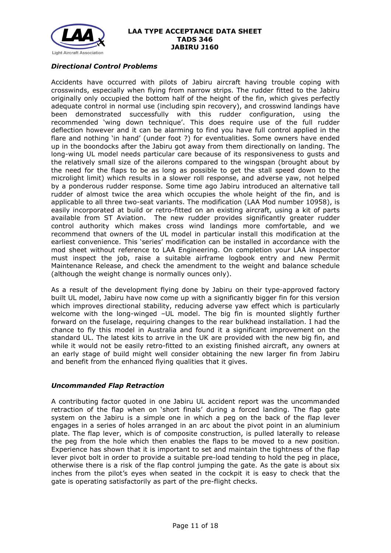

## *Directional Control Problems*

Accidents have occurred with pilots of Jabiru aircraft having trouble coping with crosswinds, especially when flying from narrow strips. The rudder fitted to the Jabiru originally only occupied the bottom half of the height of the fin, which gives perfectly adequate control in normal use (including spin recovery), and crosswind landings have been demonstrated successfully with this rudder configuration, using the recommended 'wing down technique'. This does require use of the full rudder deflection however and it can be alarming to find you have full control applied in the flare and nothing 'in hand' (under foot ?) for eventualities. Some owners have ended up in the boondocks after the Jabiru got away from them directionally on landing. The long-wing UL model needs particular care because of its responsiveness to gusts and the relatively small size of the ailerons compared to the wingspan (brought about by the need for the flaps to be as long as possible to get the stall speed down to the microlight limit) which results in a slower roll response, and adverse yaw, not helped by a ponderous rudder response. Some time ago Jabiru introduced an alternative tall rudder of almost twice the area which occupies the whole height of the fin, and is applicable to all three two-seat variants. The modification (LAA Mod number 10958), is easily incorporated at build or retro-fitted on an existing aircraft, using a kit of parts available from ST Aviation. The new rudder provides significantly greater rudder control authority which makes cross wind landings more comfortable, and we recommend that owners of the UL model in particular install this modification at the earliest convenience. This 'series' modification can be installed in accordance with the mod sheet without reference to LAA Engineering. On completion your LAA inspector must inspect the job, raise a suitable airframe logbook entry and new Permit Maintenance Release, and check the amendment to the weight and balance schedule (although the weight change is normally ounces only).

As a result of the development flying done by Jabiru on their type-approved factory built UL model, Jabiru have now come up with a significantly bigger fin for this version which improves directional stability, reducing adverse yaw effect which is particularly welcome with the long-winged –UL model. The big fin is mounted slightly further forward on the fuselage, requiring changes to the rear bulkhead installation. I had the chance to fly this model in Australia and found it a significant improvement on the standard UL. The latest kits to arrive in the UK are provided with the new big fin, and while it would not be easily retro-fitted to an existing finished aircraft, any owners at an early stage of build might well consider obtaining the new larger fin from Jabiru and benefit from the enhanced flying qualities that it gives.

#### *Uncommanded Flap Retraction*

A contributing factor quoted in one Jabiru UL accident report was the uncommanded retraction of the flap when on 'short finals' during a forced landing. The flap gate system on the Jabiru is a simple one in which a peg on the back of the flap lever engages in a series of holes arranged in an arc about the pivot point in an aluminium plate. The flap lever, which is of composite construction, is pulled laterally to release the peg from the hole which then enables the flaps to be moved to a new position. Experience has shown that it is important to set and maintain the tightness of the flap lever pivot bolt in order to provide a suitable pre-load tending to hold the peg in place, otherwise there is a risk of the flap control jumping the gate. As the gate is about six inches from the pilot's eyes when seated in the cockpit it is easy to check that the gate is operating satisfactorily as part of the pre-flight checks.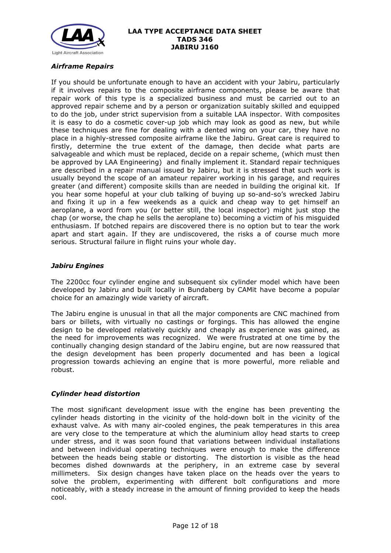

## *Airframe Repairs*

If you should be unfortunate enough to have an accident with your Jabiru, particularly if it involves repairs to the composite airframe components, please be aware that repair work of this type is a specialized business and must be carried out to an approved repair scheme and by a person or organization suitably skilled and equipped to do the job, under strict supervision from a suitable LAA inspector. With composites it is easy to do a cosmetic cover-up job which may look as good as new, but while these techniques are fine for dealing with a dented wing on your car, they have no place in a highly-stressed composite airframe like the Jabiru. Great care is required to firstly, determine the true extent of the damage, then decide what parts are salvageable and which must be replaced, decide on a repair scheme, (which must then be approved by LAA Engineering) and finally implement it. Standard repair techniques are described in a repair manual issued by Jabiru, but it is stressed that such work is usually beyond the scope of an amateur repairer working in his garage, and requires greater (and different) composite skills than are needed in building the original kit. If you hear some hopeful at your club talking of buying up so-and-so's wrecked Jabiru and fixing it up in a few weekends as a quick and cheap way to get himself an aeroplane, a word from you (or better still, the local inspector) might just stop the chap (or worse, the chap he sells the aeroplane to) becoming a victim of his misguided enthusiasm. If botched repairs are discovered there is no option but to tear the work apart and start again. If they are undiscovered, the risks a of course much more serious. Structural failure in flight ruins your whole day.

## *Jabiru Engines*

The 2200cc four cylinder engine and subsequent six cylinder model which have been developed by Jabiru and built locally in Bundaberg by CAMit have become a popular choice for an amazingly wide variety of aircraft.

The Jabiru engine is unusual in that all the major components are CNC machined from bars or billets, with virtually no castings or forgings. This has allowed the engine design to be developed relatively quickly and cheaply as experience was gained, as the need for improvements was recognized. We were frustrated at one time by the continually changing design standard of the Jabiru engine, but are now reassured that the design development has been properly documented and has been a logical progression towards achieving an engine that is more powerful, more reliable and robust.

#### *Cylinder head distortion*

The most significant development issue with the engine has been preventing the cylinder heads distorting in the vicinity of the hold-down bolt in the vicinity of the exhaust valve. As with many air-cooled engines, the peak temperatures in this area are very close to the temperature at which the aluminium alloy head starts to creep under stress, and it was soon found that variations between individual installations and between individual operating techniques were enough to make the difference between the heads being stable or distorting. The distortion is visible as the head becomes dished downwards at the periphery, in an extreme case by several millimeters. Six design changes have taken place on the heads over the years to solve the problem, experimenting with different bolt configurations and more noticeably, with a steady increase in the amount of finning provided to keep the heads cool.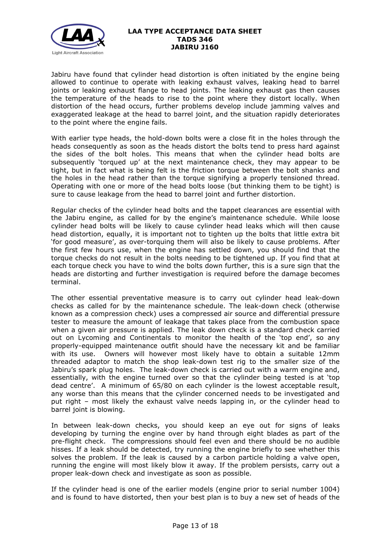

Jabiru have found that cylinder head distortion is often initiated by the engine being allowed to continue to operate with leaking exhaust valves, leaking head to barrel joints or leaking exhaust flange to head joints. The leaking exhaust gas then causes the temperature of the heads to rise to the point where they distort locally. When distortion of the head occurs, further problems develop include jamming valves and exaggerated leakage at the head to barrel joint, and the situation rapidly deteriorates to the point where the engine fails.

With earlier type heads, the hold-down bolts were a close fit in the holes through the heads consequently as soon as the heads distort the bolts tend to press hard against the sides of the bolt holes. This means that when the cylinder head bolts are subsequently 'torqued up' at the next maintenance check, they may appear to be tight, but in fact what is being felt is the friction torque between the bolt shanks and the holes in the head rather than the torque signifying a properly tensioned thread. Operating with one or more of the head bolts loose (but thinking them to be tight) is sure to cause leakage from the head to barrel joint and further distortion.

Regular checks of the cylinder head bolts and the tappet clearances are essential with the Jabiru engine, as called for by the engine's maintenance schedule. While loose cylinder head bolts will be likely to cause cylinder head leaks which will then cause head distortion, equally, it is important not to tighten up the bolts that little extra bit 'for good measure', as over-torquing them will also be likely to cause problems. After the first few hours use, when the engine has settled down, you should find that the torque checks do not result in the bolts needing to be tightened up. If you find that at each torque check you have to wind the bolts down further, this is a sure sign that the heads are distorting and further investigation is required before the damage becomes terminal.

The other essential preventative measure is to carry out cylinder head leak-down checks as called for by the maintenance schedule. The leak-down check (otherwise known as a compression check) uses a compressed air source and differential pressure tester to measure the amount of leakage that takes place from the combustion space when a given air pressure is applied. The leak down check is a standard check carried out on Lycoming and Continentals to monitor the health of the 'top end', so any properly-equipped maintenance outfit should have the necessary kit and be familiar with its use. Owners will however most likely have to obtain a suitable 12mm threaded adaptor to match the shop leak-down test rig to the smaller size of the Jabiru's spark plug holes. The leak-down check is carried out with a warm engine and, essentially, with the engine turned over so that the cylinder being tested is at 'top dead centre'. A minimum of 65/80 on each cylinder is the lowest acceptable result, any worse than this means that the cylinder concerned needs to be investigated and put right – most likely the exhaust valve needs lapping in, or the cylinder head to barrel joint is blowing.

In between leak-down checks, you should keep an eye out for signs of leaks developing by turning the engine over by hand through eight blades as part of the pre-flight check. The compressions should feel even and there should be no audible hisses. If a leak should be detected, try running the engine briefly to see whether this solves the problem. If the leak is caused by a carbon particle holding a valve open, running the engine will most likely blow it away. If the problem persists, carry out a proper leak-down check and investigate as soon as possible.

If the cylinder head is one of the earlier models (engine prior to serial number 1004) and is found to have distorted, then your best plan is to buy a new set of heads of the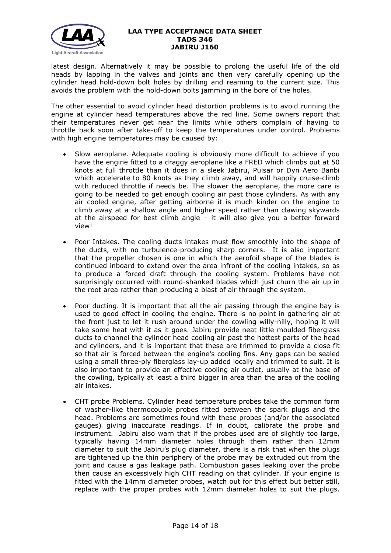

latest design. Alternatively it may be possible to prolong the useful life of the old heads by lapping in the valves and joints and then very carefully opening up the cylinder head hold-down bolt holes by drilling and reaming to the current size. This avoids the problem with the hold-down bolts jamming in the bore of the holes.

The other essential to avoid cylinder head distortion problems is to avoid running the engine at cylinder head temperatures above the red line. Some owners report that their temperatures never get near the limits while others complain of having to throttle back soon after take-off to keep the temperatures under control. Problems with high engine temperatures may be caused by:

- Slow aeroplane. Adequate cooling is obviously more difficult to achieve if you have the engine fitted to a draggy aeroplane like a FRED which climbs out at 50 knots at full throttle than it does in a sleek Jabiru, Pulsar or Dyn Aero Banbi which accelerate to 80 knots as they climb away, and will happily cruise-climb with reduced throttle if needs be. The slower the aeroplane, the more care is going to be needed to get enough cooling air past those cylinders. As with any air cooled engine, after getting airborne it is much kinder on the engine to climb away at a shallow angle and higher speed rather than clawing skywards at the airspeed for best climb angle – it will also give you a better forward view!
- Poor Intakes. The cooling ducts intakes must flow smoothly into the shape of the ducts, with no turbulence-producing sharp corners. It is also important that the propeller chosen is one in which the aerofoil shape of the blades is continued inboard to extend over the area infront of the cooling intakes, so as to produce a forced draft through the cooling system. Problems have not surprisingly occurred with round-shanked blades which just churn the air up in the root area rather than producing a blast of air through the system.
- Poor ducting. It is important that all the air passing through the engine bay is used to good effect in cooling the engine. There is no point in gathering air at the front just to let it rush around under the cowling willy-nilly, hoping it will take some heat with it as it goes. Jabiru provide neat little moulded fiberglass ducts to channel the cylinder head cooling air past the hottest parts of the head and cylinders, and it is important that these are trimmed to provide a close fit so that air is forced between the engine's cooling fins. Any gaps can be sealed using a small three-ply fiberglass lay-up added locally and trimmed to suit. It is also important to provide an effective cooling air outlet, usually at the base of the cowling, typically at least a third bigger in area than the area of the cooling air intakes.
- CHT probe Problems. Cylinder head temperature probes take the common form of washer-like thermocouple probes fitted between the spark plugs and the head. Problems are sometimes found with these probes (and/or the associated gauges) giving inaccurate readings. If in doubt, calibrate the probe and instrument. Jabiru also warn that if the probes used are of slightly too large, typically having 14mm diameter holes through them rather than 12mm diameter to suit the Jabiru's plug diameter, there is a risk that when the plugs are tightened up the thin periphery of the probe may be extruded out from the joint and cause a gas leakage path. Combustion gases leaking over the probe then cause an excessively high CHT reading on that cylinder. If your engine is fitted with the 14mm diameter probes, watch out for this effect but better still, replace with the proper probes with 12mm diameter holes to suit the plugs.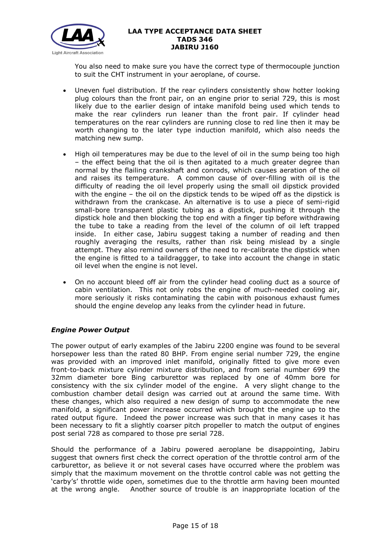

You also need to make sure you have the correct type of thermocouple junction to suit the CHT instrument in your aeroplane, of course.

- Uneven fuel distribution. If the rear cylinders consistently show hotter looking plug colours than the front pair, on an engine prior to serial 729, this is most likely due to the earlier design of intake manifold being used which tends to make the rear cylinders run leaner than the front pair. If cylinder head temperatures on the rear cylinders are running close to red line then it may be worth changing to the later type induction manifold, which also needs the matching new sump.
- High oil temperatures may be due to the level of oil in the sump being too high – the effect being that the oil is then agitated to a much greater degree than normal by the flailing crankshaft and conrods, which causes aeration of the oil and raises its temperature. A common cause of over-filling with oil is the difficulty of reading the oil level properly using the small oil dipstick provided with the engine – the oil on the dipstick tends to be wiped off as the dipstick is withdrawn from the crankcase. An alternative is to use a piece of semi-rigid small-bore transparent plastic tubing as a dipstick, pushing it through the dipstick hole and then blocking the top end with a finger tip before withdrawing the tube to take a reading from the level of the column of oil left trapped inside. In either case, Jabiru suggest taking a number of reading and then roughly averaging the results, rather than risk being mislead by a single attempt. They also remind owners of the need to re-calibrate the dipstick when the engine is fitted to a taildraggger, to take into account the change in static oil level when the engine is not level.
- On no account bleed off air from the cylinder head cooling duct as a source of cabin ventilation. This not only robs the engine of much-needed cooling air, more seriously it risks contaminating the cabin with poisonous exhaust fumes should the engine develop any leaks from the cylinder head in future.

## *Engine Power Output*

The power output of early examples of the Jabiru 2200 engine was found to be several horsepower less than the rated 80 BHP. From engine serial number 729, the engine was provided with an improved inlet manifold, originally fitted to give more even front-to-back mixture cylinder mixture distribution, and from serial number 699 the 32mm diameter bore Bing carburettor was replaced by one of 40mm bore for consistency with the six cylinder model of the engine. A very slight change to the combustion chamber detail design was carried out at around the same time. With these changes, which also required a new design of sump to accommodate the new manifold, a significant power increase occurred which brought the engine up to the rated output figure. Indeed the power increase was such that in many cases it has been necessary to fit a slightly coarser pitch propeller to match the output of engines post serial 728 as compared to those pre serial 728.

Should the performance of a Jabiru powered aeroplane be disappointing, Jabiru suggest that owners first check the correct operation of the throttle control arm of the carburettor, as believe it or not several cases have occurred where the problem was simply that the maximum movement on the throttle control cable was not getting the 'carby's' throttle wide open, sometimes due to the throttle arm having been mounted at the wrong angle. Another source of trouble is an inappropriate location of the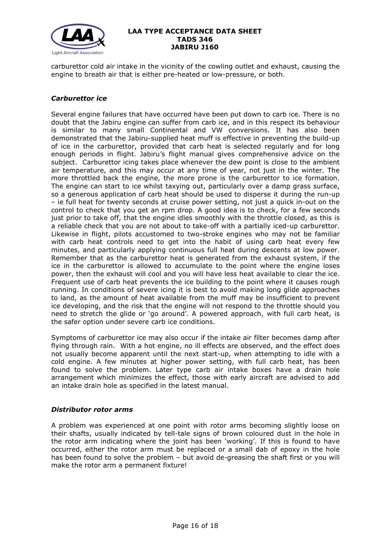

carburettor cold air intake in the vicinity of the cowling outlet and exhaust, causing the engine to breath air that is either pre-heated or low-pressure, or both.

## *Carburettor ice*

Several engine failures that have occurred have been put down to carb ice. There is no doubt that the Jabiru engine can suffer from carb ice, and in this respect its behaviour is similar to many small Continental and VW conversions. It has also been demonstrated that the Jabiru-supplied heat muff is effective in preventing the build-up of ice in the carburettor, provided that carb heat is selected regularly and for long enough periods in flight. Jabiru's flight manual gives comprehensive advice on the subject. Carburettor icing takes place whenever the dew point is close to the ambient air temperature, and this may occur at any time of year, not just in the winter. The more throttled back the engine, the more prone is the carburettor to ice formation. The engine can start to ice whilst taxying out, particularly over a damp grass surface, so a generous application of carb heat should be used to disperse it during the run-up – ie full heat for twenty seconds at cruise power setting, not just a quick in-out on the control to check that you get an rpm drop. A good idea is to check, for a few seconds just prior to take off, that the engine idles smoothly with the throttle closed, as this is a reliable check that you are not about to take-off with a partially iced-up carburettor. Likewise in flight, pilots accustomed to two-stroke engines who may not be familiar with carb heat controls need to get into the habit of using carb heat every few minutes, and particularly applying continuous full heat during descents at low power. Remember that as the carburettor heat is generated from the exhaust system, if the ice in the carburettor is allowed to accumulate to the point where the engine loses power, then the exhaust will cool and you will have less heat available to clear the ice. Frequent use of carb heat prevents the ice building to the point where it causes rough running. In conditions of severe icing it is best to avoid making long glide approaches to land, as the amount of heat available from the muff may be insufficient to prevent ice developing, and the risk that the engine will not respond to the throttle should you need to stretch the glide or 'go around'. A powered approach, with full carb heat, is the safer option under severe carb ice conditions.

Symptoms of carburettor ice may also occur if the intake air filter becomes damp after flying through rain. With a hot engine, no ill effects are observed, and the effect does not usually become apparent until the next start-up, when attempting to idle with a cold engine. A few minutes at higher power setting, with full carb heat, has been found to solve the problem. Later type carb air intake boxes have a drain hole arrangement which minimizes the effect, those with early aircraft are advised to add an intake drain hole as specified in the latest manual.

#### *Distributor rotor arms*

A problem was experienced at one point with rotor arms becoming slightly loose on their shafts, usually indicated by tell-tale signs of brown coloured dust in the hole in the rotor arm indicating where the joint has been 'working'. If this is found to have occurred, either the rotor arm must be replaced or a small dab of epoxy in the hole has been found to solve the problem – but avoid de-greasing the shaft first or you will make the rotor arm a permanent fixture!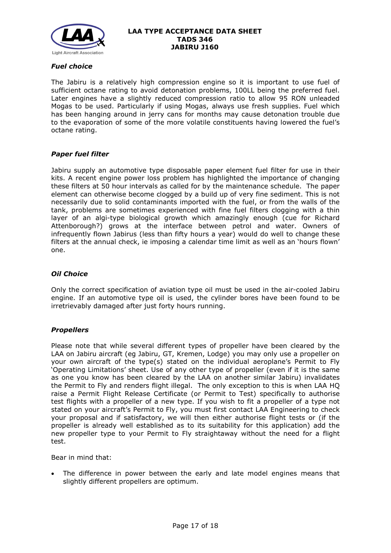

## *Fuel choice*

The Jabiru is a relatively high compression engine so it is important to use fuel of sufficient octane rating to avoid detonation problems, 100LL being the preferred fuel. Later engines have a slightly reduced compression ratio to allow 95 RON unleaded Mogas to be used. Particularly if using Mogas, always use fresh supplies. Fuel which has been hanging around in jerry cans for months may cause detonation trouble due to the evaporation of some of the more volatile constituents having lowered the fuel's octane rating.

#### *Paper fuel filter*

Jabiru supply an automotive type disposable paper element fuel filter for use in their kits. A recent engine power loss problem has highlighted the importance of changing these filters at 50 hour intervals as called for by the maintenance schedule. The paper element can otherwise become clogged by a build up of very fine sediment. This is not necessarily due to solid contaminants imported with the fuel, or from the walls of the tank, problems are sometimes experienced with fine fuel filters clogging with a thin layer of an algi-type biological growth which amazingly enough (cue for Richard Attenborough?) grows at the interface between petrol and water. Owners of infrequently flown Jabirus (less than fifty hours a year) would do well to change these filters at the annual check, ie imposing a calendar time limit as well as an 'hours flown' one.

#### *Oil Choice*

Only the correct specification of aviation type oil must be used in the air-cooled Jabiru engine. If an automotive type oil is used, the cylinder bores have been found to be irretrievably damaged after just forty hours running.

#### *Propellers*

Please note that while several different types of propeller have been cleared by the LAA on Jabiru aircraft (eg Jabiru, GT, Kremen, Lodge) you may only use a propeller on your own aircraft of the type(s) stated on the individual aeroplane's Permit to Fly 'Operating Limitations' sheet. Use of any other type of propeller (even if it is the same as one you know has been cleared by the LAA on another similar Jabiru) invalidates the Permit to Fly and renders flight illegal. The only exception to this is when LAA HQ raise a Permit Flight Release Certificate (or Permit to Test) specifically to authorise test flights with a propeller of a new type. If you wish to fit a propeller of a type not stated on your aircraft's Permit to Fly, you must first contact LAA Engineering to check your proposal and if satisfactory, we will then either authorise flight tests or (if the propeller is already well established as to its suitability for this application) add the new propeller type to your Permit to Fly straightaway without the need for a flight test.

Bear in mind that:

• The difference in power between the early and late model engines means that slightly different propellers are optimum.